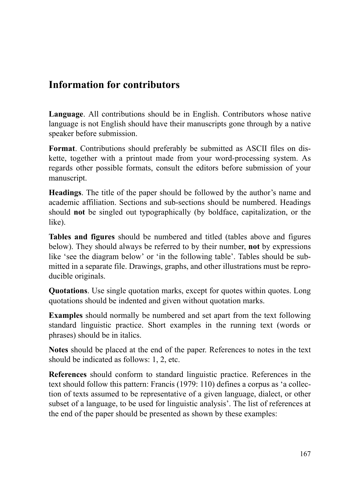## **Information for contributors**

**Language**. All contributions should be in English. Contributors whose native language is not English should have their manuscripts gone through by a native speaker before submission.

**Format**. Contributions should preferably be submitted as ASCII files on diskette, together with a printout made from your word-processing system. As regards other possible formats, consult the editors before submission of your manuscript.

**Headings**. The title of the paper should be followed by the author's name and academic affiliation. Sections and sub-sections should be numbered. Headings should **not** be singled out typographically (by boldface, capitalization, or the like).

**Tables and figures** should be numbered and titled (tables above and figures below). They should always be referred to by their number, **not** by expressions like 'see the diagram below' or 'in the following table'. Tables should be submitted in a separate file. Drawings, graphs, and other illustrations must be reproducible originals.

**Quotations**. Use single quotation marks, except for quotes within quotes. Long quotations should be indented and given without quotation marks.

**Examples** should normally be numbered and set apart from the text following standard linguistic practice. Short examples in the running text (words or phrases) should be in italics.

**Notes** should be placed at the end of the paper. References to notes in the text should be indicated as follows: 1, 2, etc.

**References** should conform to standard linguistic practice. References in the text should follow this pattern: Francis (1979: 110) defines a corpus as 'a collection of texts assumed to be representative of a given language, dialect, or other subset of a language, to be used for linguistic analysis'. The list of references at the end of the paper should be presented as shown by these examples: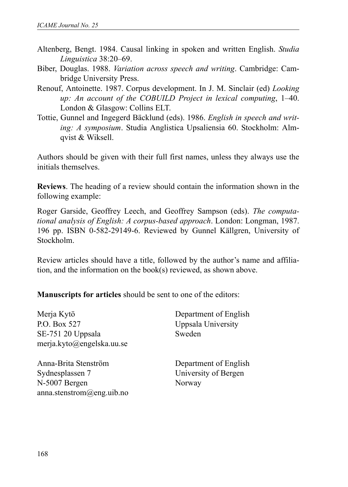- Altenberg, Bengt. 1984. Causal linking in spoken and written English. *Studia Linguistica* 38:20–69.
- Biber, Douglas. 1988. *Variation across speech and writing*. Cambridge: Cambridge University Press.
- Renouf, Antoinette. 1987. Corpus development. In J. M. Sinclair (ed) *Looking up: An account of the COBUILD Project in lexical computing*, 1–40. London & Glasgow: Collins ELT.
- Tottie, Gunnel and Ingegerd Bäcklund (eds). 1986. *English in speech and writing: A symposium*. Studia Anglistica Upsaliensia 60. Stockholm: Almqvist & Wiksell.

Authors should be given with their full first names, unless they always use the initials themselves.

**Reviews**. The heading of a review should contain the information shown in the following example:

Roger Garside, Geoffrey Leech, and Geoffrey Sampson (eds). *The computational analysis of English: A corpus-based approach*. London: Longman, 1987. 196 pp. ISBN 0-582-29149-6. Reviewed by Gunnel Källgren, University of Stockholm.

Review articles should have a title, followed by the author's name and affiliation, and the information on the book(s) reviewed, as shown above.

**Manuscripts for articles** should be sent to one of the editors:

| Merja Kytö                | Department of English |
|---------------------------|-----------------------|
| P.O. Box 527              | Uppsala University    |
| SE-751 20 Uppsala         | Sweden                |
| merja.kyto@engelska.uu.se |                       |
| Anna-Brita Stenström      | Department of English |
| Sydnesplassen 7           | University of Bergen  |
| N-5007 Bergen             | Norway                |
| anna.stenstrom@eng.uib.no |                       |